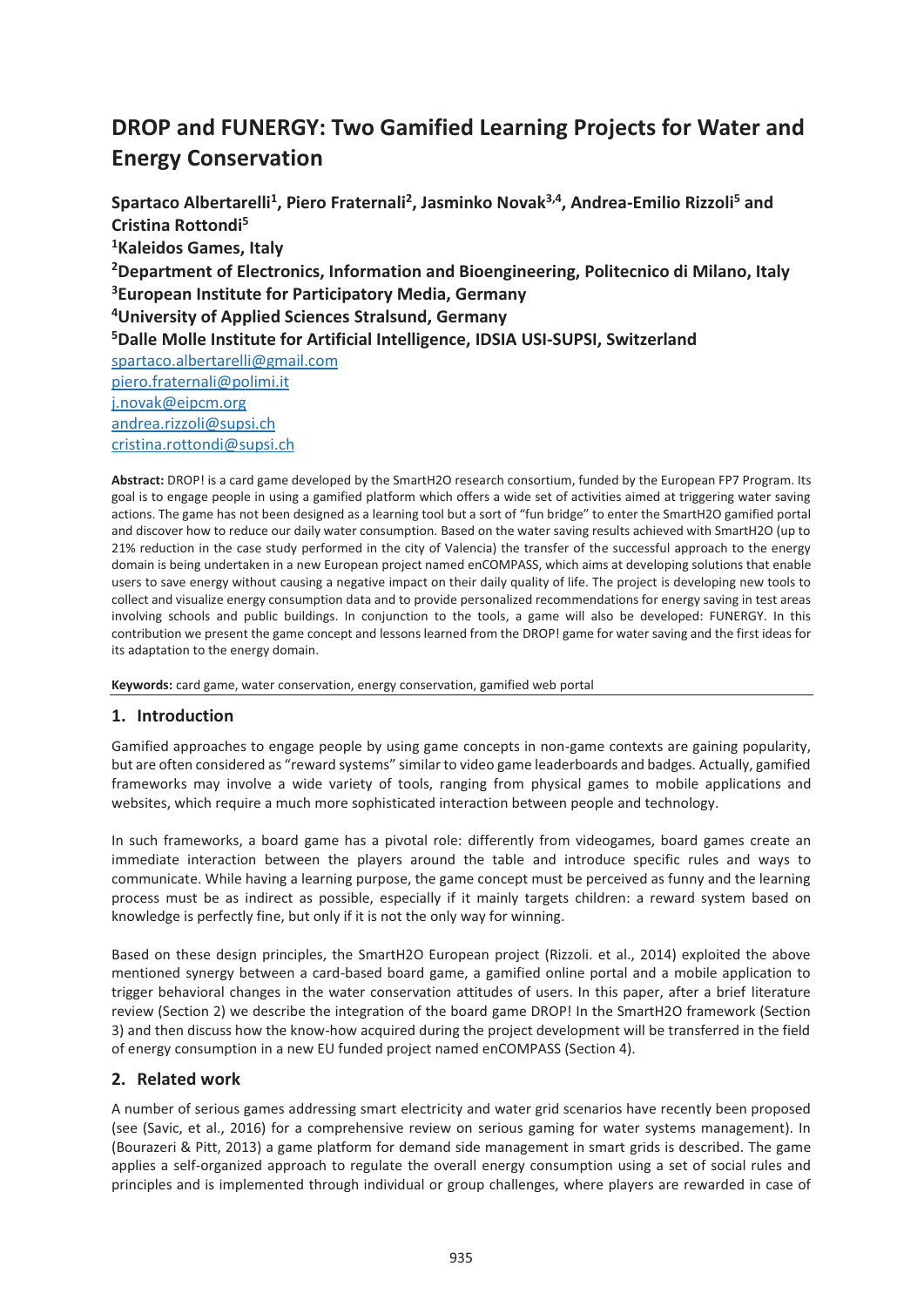# **DROP and FUNERGY: Two Gamified Learning Projects for Water and Energy Conservation**

Spartaco Albertarelli<sup>1</sup>, Piero Fraternali<sup>2</sup>, Jasminko Novak<sup>3,4</sup>, Andrea-Emilio Rizzoli<sup>5</sup> and **Cristina Rottondi5 1Kaleidos Games, Italy 2Department of Electronics, Information and Bioengineering, Politecnico di Milano, Italy 3European Institute for Participatory Media, Germany 4University of Applied Sciences Stralsund, Germany 5Dalle Molle Institute for Artificial Intelligence, IDSIA USI-SUPSI, Switzerland**  spartaco.albertarelli@gmail.com piero.fraternali@polimi.it j.novak@eipcm.org andrea.rizzoli@supsi.ch cristina.rottondi@supsi.ch

**Abstract:** DROP! is a card game developed by the SmartH2O research consortium, funded by the European FP7 Program. Its goal is to engage people in using a gamified platform which offers a wide set of activities aimed at triggering water saving actions. The game has not been designed as a learning tool but a sort of "fun bridge" to enter the SmartH2O gamified portal and discover how to reduce our daily water consumption. Based on the water saving results achieved with SmartH2O (up to 21% reduction in the case study performed in the city of Valencia) the transfer of the successful approach to the energy domain is being undertaken in a new European project named enCOMPASS, which aims at developing solutions that enable users to save energy without causing a negative impact on their daily quality of life. The project is developing new tools to collect and visualize energy consumption data and to provide personalized recommendations for energy saving in test areas involving schools and public buildings. In conjunction to the tools, a game will also be developed: FUNERGY. In this contribution we present the game concept and lessons learned from the DROP! game for water saving and the first ideas for its adaptation to the energy domain.

**Keywords:** card game, water conservation, energy conservation, gamified web portal

# **1. Introduction**

Gamified approaches to engage people by using game concepts in non-game contexts are gaining popularity, but are often considered as "reward systems" similar to video game leaderboards and badges. Actually, gamified frameworks may involve a wide variety of tools, ranging from physical games to mobile applications and websites, which require a much more sophisticated interaction between people and technology.

In such frameworks, a board game has a pivotal role: differently from videogames, board games create an immediate interaction between the players around the table and introduce specific rules and ways to communicate. While having a learning purpose, the game concept must be perceived as funny and the learning process must be as indirect as possible, especially if it mainly targets children: a reward system based on knowledge is perfectly fine, but only if it is not the only way for winning.

Based on these design principles, the SmartH2O European project (Rizzoli. et al., 2014) exploited the above mentioned synergy between a card-based board game, a gamified online portal and a mobile application to trigger behavioral changes in the water conservation attitudes of users. In this paper, after a brief literature review (Section 2) we describe the integration of the board game DROP! In the SmartH2O framework (Section 3) and then discuss how the know-how acquired during the project development will be transferred in the field of energy consumption in a new EU funded project named enCOMPASS (Section 4).

## **2. Related work**

A number of serious games addressing smart electricity and water grid scenarios have recently been proposed (see (Savic, et al., 2016) for a comprehensive review on serious gaming for water systems management). In (Bourazeri & Pitt, 2013) a game platform for demand side management in smart grids is described. The game applies a self-organized approach to regulate the overall energy consumption using a set of social rules and principles and is implemented through individual or group challenges, where players are rewarded in case of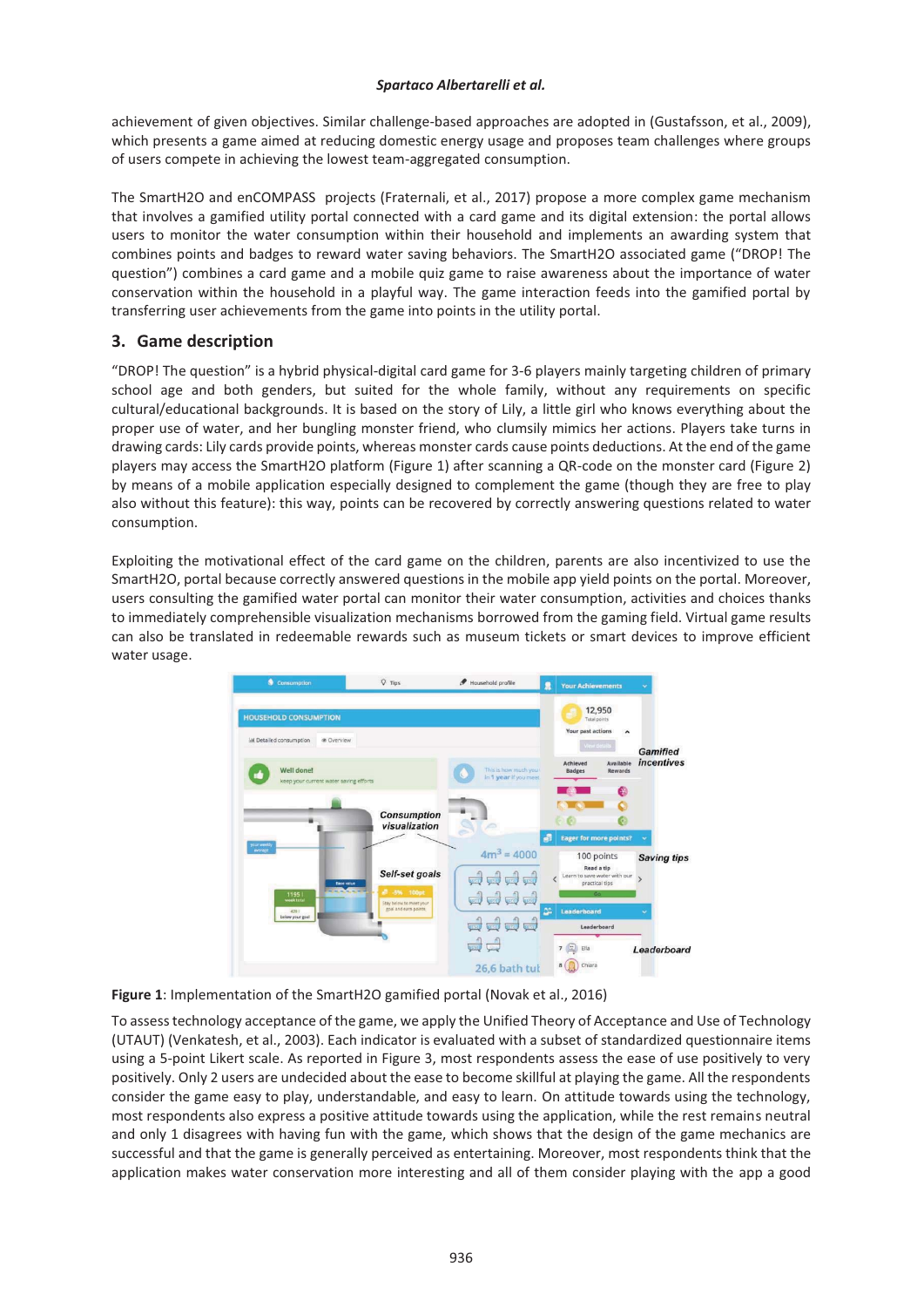#### *Spartaco Albertarelli et al.*

achievement of given objectives. Similar challenge-based approaches are adopted in (Gustafsson, et al., 2009), which presents a game aimed at reducing domestic energy usage and proposes team challenges where groups of users compete in achieving the lowest team-aggregated consumption.

The SmartH2O and enCOMPASS projects (Fraternali, et al., 2017) propose a more complex game mechanism that involves a gamified utility portal connected with a card game and its digital extension: the portal allows users to monitor the water consumption within their household and implements an awarding system that combines points and badges to reward water saving behaviors. The SmartH2O associated game ("DROP! The question") combines a card game and a mobile quiz game to raise awareness about the importance of water conservation within the household in a playful way. The game interaction feeds into the gamified portal by transferring user achievements from the game into points in the utility portal.

# **3. Game description**

"DROP! The question" is a hybrid physical-digital card game for 3-6 players mainly targeting children of primary school age and both genders, but suited for the whole family, without any requirements on specific cultural/educational backgrounds. It is based on the story of Lily, a little girl who knows everything about the proper use of water, and her bungling monster friend, who clumsily mimics her actions. Players take turns in drawing cards: Lily cards provide points, whereas monster cards cause points deductions. At the end of the game players may access the SmartH2O platform (Figure 1) after scanning a QR-code on the monster card (Figure 2) by means of a mobile application especially designed to complement the game (though they are free to play also without this feature): this way, points can be recovered by correctly answering questions related to water consumption.

Exploiting the motivational effect of the card game on the children, parents are also incentivized to use the SmartH2O, portal because correctly answered questions in the mobile app yield points on the portal. Moreover, users consulting the gamified water portal can monitor their water consumption, activities and choices thanks to immediately comprehensible visualization mechanisms borrowed from the gaming field. Virtual game results can also be translated in redeemable rewards such as museum tickets or smart devices to improve efficient water usage.



**Figure 1**: Implementation of the SmartH2O gamified portal (Novak et al., 2016)

To assess technology acceptance of the game, we apply the Unified Theory of Acceptance and Use of Technology (UTAUT) (Venkatesh, et al., 2003). Each indicator is evaluated with a subset of standardized questionnaire items using a 5-point Likert scale. As reported in Figure 3, most respondents assess the ease of use positively to very positively. Only 2 users are undecided about the ease to become skillful at playing the game. All the respondents consider the game easy to play, understandable, and easy to learn. On attitude towards using the technology, most respondents also express a positive attitude towards using the application, while the rest remains neutral and only 1 disagrees with having fun with the game, which shows that the design of the game mechanics are successful and that the game is generally perceived as entertaining. Moreover, most respondents think that the application makes water conservation more interesting and all of them consider playing with the app a good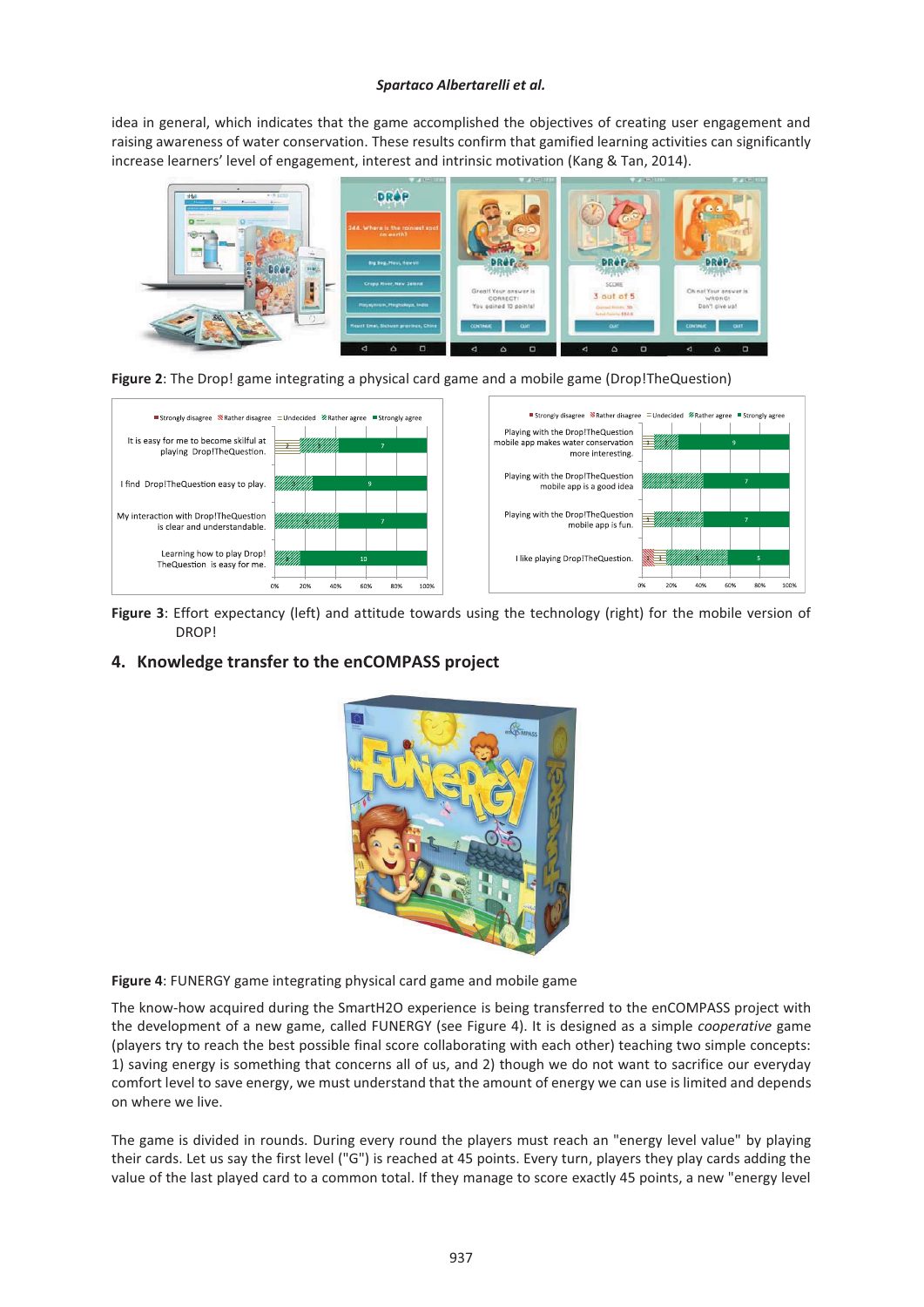#### *Spartaco Albertarelli et al.*

idea in general, which indicates that the game accomplished the objectives of creating user engagement and raising awareness of water conservation. These results confirm that gamified learning activities can significantly increase learners' level of engagement, interest and intrinsic motivation (Kang & Tan, 2014).







**Figure 3**: Effort expectancy (left) and attitude towards using the technology (right) for the mobile version of DROP!

## **4. Knowledge transfer to the enCOMPASS project**



**Figure 4**: FUNERGY game integrating physical card game and mobile game

The know-how acquired during the SmartH2O experience is being transferred to the enCOMPASS project with the development of a new game, called FUNERGY (see Figure 4). It is designed as a simple *cooperative* game (players try to reach the best possible final score collaborating with each other) teaching two simple concepts: 1) saving energy is something that concerns all of us, and 2) though we do not want to sacrifice our everyday comfort level to save energy, we must understand that the amount of energy we can use is limited and depends on where we live.

The game is divided in rounds. During every round the players must reach an "energy level value" by playing their cards. Let us say the first level ("G") is reached at 45 points. Every turn, players they play cards adding the value of the last played card to a common total. If they manage to score exactly 45 points, a new "energy level